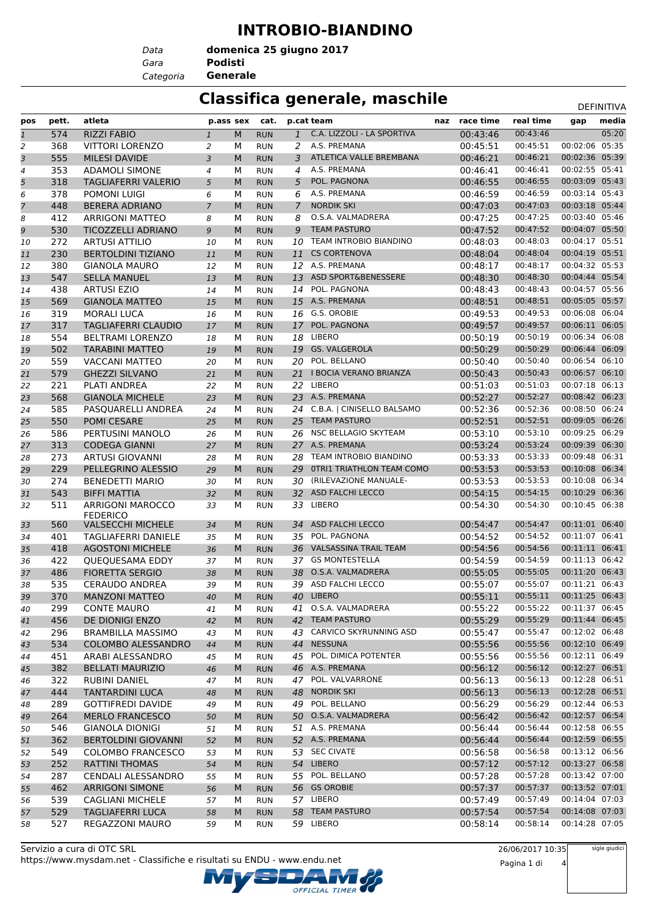#### **INTROBIO-BIANDINO**

*Data*

*Gara* **Podisti domenica 25 giugno 2017**

#### *Categoria* **Generale**

#### **Classifica generale, maschile** Definitival Definitival

| pos            | pett. | atleta                     | p.ass sex      |           | cat.       |                | p.cat team                       | naz | race time | real time | gap            | media |
|----------------|-------|----------------------------|----------------|-----------|------------|----------------|----------------------------------|-----|-----------|-----------|----------------|-------|
| $\mathbf{1}$   | 574   | <b>RIZZI FABIO</b>         | $\mathbf{1}$   | M         | <b>RUN</b> | $\mathbf{1}$   | C.A. LIZZOLI - LA SPORTIVA       |     | 00:43:46  | 00:43:46  |                | 05:20 |
| $\overline{2}$ | 368   | <b>VITTORI LORENZO</b>     | 2              | М         | <b>RUN</b> | 2              | A.S. PREMANA                     |     | 00:45:51  | 00:45:51  | 00:02:06 05:35 |       |
| 3              | 555   | <b>MILESI DAVIDE</b>       | 3              | M         | <b>RUN</b> | 3              | ATLETICA VALLE BREMBANA          |     | 00:46:21  | 00:46:21  | 00:02:36       | 05:39 |
| 4              | 353   | <b>ADAMOLI SIMONE</b>      | $\overline{4}$ | M         | <b>RUN</b> | 4              | A.S. PREMANA                     |     | 00:46:41  | 00:46:41  | 00:02:55 05:41 |       |
| 5              | 318   | <b>TAGLIAFERRI VALERIO</b> | 5              | M         | <b>RUN</b> | 5              | POL. PAGNONA                     |     | 00:46:55  | 00:46:55  | 00:03:09 05:43 |       |
| 6              | 378   | <b>POMONI LUIGI</b>        | 6              | M         | <b>RUN</b> | 6              | A.S. PREMANA                     |     | 00:46:59  | 00:46:59  | 00:03:14 05:43 |       |
| 7              | 448   | <b>BERERA ADRIANO</b>      | $\overline{7}$ | M         | <b>RUN</b> | $\overline{7}$ | <b>NORDIK SKI</b>                |     | 00:47:03  | 00:47:03  | 00:03:18 05:44 |       |
| 8              | 412   | <b>ARRIGONI MATTEO</b>     | 8              | М         | <b>RUN</b> | 8              | O.S.A. VALMADRERA                |     | 00:47:25  | 00:47:25  | 00:03:40 05:46 |       |
| 9              | 530   | <b>TICOZZELLI ADRIANO</b>  | 9              | M         | <b>RUN</b> | 9              | <b>TEAM PASTURO</b>              |     | 00:47:52  | 00:47:52  | 00:04:07 05:50 |       |
| 10             | 272   | <b>ARTUSI ATTILIO</b>      | 10             | M         | <b>RUN</b> | 10             | TEAM INTROBIO BIANDINO           |     | 00:48:03  | 00:48:03  | 00:04:17 05:51 |       |
| 11             | 230   | <b>BERTOLDINI TIZIANO</b>  | 11             | M         | <b>RUN</b> | 11             | <b>CS CORTENOVA</b>              |     | 00:48:04  | 00:48:04  | 00:04:19 05:51 |       |
| 12             | 380   | <b>GIANOLA MAURO</b>       | 12             | M         | <b>RUN</b> | 12             | A.S. PREMANA                     |     | 00:48:17  | 00:48:17  | 00:04:32 05:53 |       |
| 13             | 547   | <b>SELLA MANUEL</b>        | 13             | M         | <b>RUN</b> | 13             | ASD SPORT&BENESSERE              |     | 00:48:30  | 00:48:30  | 00:04:44 05:54 |       |
| 14             | 438   | <b>ARTUSI EZIO</b>         | 14             | М         | <b>RUN</b> | 14             | POL. PAGNONA                     |     | 00:48:43  | 00:48:43  | 00:04:57 05:56 |       |
| 15             | 569   | <b>GIANOLA MATTEO</b>      | 15             | M         | <b>RUN</b> |                | 15 A.S. PREMANA                  |     | 00:48:51  | 00:48:51  | 00:05:05 05:57 |       |
|                | 319   |                            |                | М         |            | 16             | G.S. OROBIE                      |     | 00:49:53  | 00:49:53  | 00:06:08 06:04 |       |
| 16             |       | <b>MORALI LUCA</b>         | 16             |           | <b>RUN</b> |                | POL. PAGNONA                     |     |           | 00:49:57  | 00:06:11 06:05 |       |
| 17             | 317   | <b>TAGLIAFERRI CLAUDIO</b> | 17             | M         | <b>RUN</b> | 17             |                                  |     | 00:49:57  |           |                |       |
| 18             | 554   | <b>BELTRAMI LORENZO</b>    | 18             | M         | <b>RUN</b> | 18             | LIBERO                           |     | 00:50:19  | 00:50:19  | 00:06:34 06:08 |       |
| 19             | 502   | <b>TARABINI MATTEO</b>     | 19             | M         | <b>RUN</b> | 19             | <b>GS. VALGEROLA</b>             |     | 00:50:29  | 00:50:29  | 00:06:44 06:09 |       |
| 20             | 559   | <b>VACCANI MATTEO</b>      | 20             | M         | <b>RUN</b> | 20             | POL. BELLANO                     |     | 00:50:40  | 00:50:40  | 00:06:54 06:10 |       |
| 21             | 579   | <b>GHEZZI SILVANO</b>      | 21             | M         | <b>RUN</b> | 21             | I BOCIA VERANO BRIANZA           |     | 00:50:43  | 00:50:43  | 00:06:57 06:10 |       |
| 22             | 221   | PLATI ANDREA               | 22             | М         | <b>RUN</b> | 22             | LIBERO                           |     | 00:51:03  | 00:51:03  | 00:07:18 06:13 |       |
| 23             | 568   | <b>GIANOLA MICHELE</b>     | 23             | M         | <b>RUN</b> | 23             | A.S. PREMANA                     |     | 00:52:27  | 00:52:27  | 00:08:42 06:23 |       |
| 24             | 585   | PASQUARELLI ANDREA         | 24             | M         | <b>RUN</b> |                | 24 C.B.A.   CINISELLO BALSAMO    |     | 00:52:36  | 00:52:36  | 00:08:50 06:24 |       |
| 25             | 550   | POMI CESARE                | 25             | M         | <b>RUN</b> | 25             | <b>TEAM PASTURO</b>              |     | 00:52:51  | 00:52:51  | 00:09:05 06:26 |       |
| 26             | 586   | PERTUSINI MANOLO           | 26             | М         | <b>RUN</b> | 26             | NSC BELLAGIO SKYTEAM             |     | 00:53:10  | 00:53:10  | 00:09:25 06:29 |       |
| 27             | 313   | <b>CODEGA GIANNI</b>       | 27             | M         | <b>RUN</b> |                | 27 A.S. PREMANA                  |     | 00:53:24  | 00:53:24  | 00:09:39 06:30 |       |
| 28             | 273   | <b>ARTUSI GIOVANNI</b>     | 28             | М         | <b>RUN</b> | 28             | TEAM INTROBIO BIANDINO           |     | 00:53:33  | 00:53:33  | 00:09:48 06:31 |       |
| 29             | 229   | PELLEGRINO ALESSIO         | 29             | M         | <b>RUN</b> | 29             | <b>OTRI1 TRIATHLON TEAM COMO</b> |     | 00:53:53  | 00:53:53  | 00:10:08 06:34 |       |
| 30             | 274   | <b>BENEDETTI MARIO</b>     | 30             | M         | <b>RUN</b> | 30             | (RILEVAZIONE MANUALE-            |     | 00:53:53  | 00:53:53  | 00:10:08 06:34 |       |
| 31             | 543   | <b>BIFFI MATTIA</b>        | 32             | M         | <b>RUN</b> |                | 32 ASD FALCHI LECCO              |     | 00:54:15  | 00:54:15  | 00:10:29 06:36 |       |
| 32             | 511   | <b>ARRIGONI MAROCCO</b>    | 33             | М         | <b>RUN</b> | 33             | LIBERO                           |     | 00:54:30  | 00:54:30  | 00:10:45 06:38 |       |
|                |       | <b>FEDERICO</b>            |                |           |            |                |                                  |     |           |           |                |       |
| 33             | 560   | <b>VALSECCHI MICHELE</b>   | 34             | M         | <b>RUN</b> | 34             | <b>ASD FALCHI LECCO</b>          |     | 00:54:47  | 00:54:47  | 00:11:01 06:40 |       |
| 34             | 401   | <b>TAGLIAFERRI DANIELE</b> | 35             | M         | <b>RUN</b> | 35             | POL. PAGNONA                     |     | 00:54:52  | 00:54:52  | 00:11:07 06:41 |       |
| 35             | 418   | <b>AGOSTONI MICHELE</b>    | 36             | M         | <b>RUN</b> | 36             | <b>VALSASSINA TRAIL TEAM</b>     |     | 00:54:56  | 00:54:56  | 00:11:11 06:41 |       |
| 36             | 422   | QUEQUESAMA EDDY            | 37             | M         | <b>RUN</b> | 37             | <b>GS MONTESTELLA</b>            |     | 00:54:59  | 00:54:59  | 00:11:13 06:42 |       |
| 37             | 486   | <b>FIORETTA SERGIO</b>     | 38             | M         | <b>RUN</b> | 38             | O.S.A. VALMADRERA                |     | 00:55:05  | 00:55:05  | 00:11:20 06:43 |       |
| 38             | 535   | <b>CERAUDO ANDREA</b>      | 39             | M         | <b>RUN</b> |                | 39 ASD FALCHI LECCO              |     | 00:55:07  | 00:55:07  | 00:11:21 06:43 |       |
| 39             | 370   | <b>MANZONI MATTEO</b>      | 40             | ${\sf M}$ | <b>RUN</b> |                | 40 LIBERO                        |     | 00:55:11  | 00:55:11  | 00:11:25 06:43 |       |
|                | 299   | <b>CONTE MAURO</b>         |                | М         | <b>RUN</b> |                | 41 O.S.A. VALMADRERA             |     | 00:55:22  | 00:55:22  | 00:11:37 06:45 |       |
| 40             |       |                            | 41             |           |            |                | 42 TEAM PASTURO                  |     |           | 00:55:29  | 00:11:44 06:45 |       |
| 41             | 456   | DE DIONIGI ENZO            | 42             | M         | <b>RUN</b> |                |                                  |     | 00:55:29  |           |                |       |
| 42             | 296   | <b>BRAMBILLA MASSIMO</b>   | 43             | м         | <b>RUN</b> |                | 43 CARVICO SKYRUNNING ASD        |     | 00:55:47  | 00:55:47  | 00:12:02 06:48 |       |
| 43             | 534   | COLOMBO ALESSANDRO         | 44             | M         | <b>RUN</b> |                | 44 NESSUNA                       |     | 00:55:56  | 00:55:56  | 00:12:10 06:49 |       |
| 44             | 451   | ARABI ALESSANDRO           | 45             | м         | <b>RUN</b> |                | 45 POL. DIMICA POTENTER          |     | 00:55:56  | 00:55:56  | 00:12:11 06:49 |       |
| 45             | 382   | <b>BELLATI MAURIZIO</b>    | 46             | M         | <b>RUN</b> |                | 46 A.S. PREMANA                  |     | 00:56:12  | 00:56:12  | 00:12:27 06:51 |       |
| 46             | 322   | RUBINI DANIEL              | 47             | М         | <b>RUN</b> | 47             | POL. VALVARRONE                  |     | 00:56:13  | 00:56:13  | 00:12:28 06:51 |       |
| 47             | 444   | <b>TANTARDINI LUCA</b>     | 48             | M         | <b>RUN</b> |                | 48 NORDIK SKI                    |     | 00:56:13  | 00:56:13  | 00:12:28 06:51 |       |
| 48             | 289   | <b>GOTTIFREDI DAVIDE</b>   | 49             | м         | <b>RUN</b> | 49             | POL. BELLANO                     |     | 00:56:29  | 00:56:29  | 00:12:44 06:53 |       |
| 49             | 264   | <b>MERLO FRANCESCO</b>     | 50             | M         | <b>RUN</b> |                | 50 O.S.A. VALMADRERA             |     | 00:56:42  | 00:56:42  | 00:12:57 06:54 |       |
| 50             | 546   | <b>GIANOLA DIONIGI</b>     | 51             | м         | <b>RUN</b> |                | 51 A.S. PREMANA                  |     | 00:56:44  | 00:56:44  | 00:12:58 06:55 |       |
| 51             | 362   | <b>BERTOLDINI GIOVANNI</b> | 52             | M         | <b>RUN</b> |                | 52 A.S. PREMANA                  |     | 00:56:44  | 00:56:44  | 00:12:59 06:55 |       |
| 52             | 549   | <b>COLOMBO FRANCESCO</b>   | 53             | м         | <b>RUN</b> |                | 53 SEC CIVATE                    |     | 00:56:58  | 00:56:58  | 00:13:12 06:56 |       |
| 53             | 252   | <b>RATTINI THOMAS</b>      | 54             | M         | <b>RUN</b> |                | 54 LIBERO                        |     | 00:57:12  | 00:57:12  | 00:13:27 06:58 |       |
| 54             | 287   | CENDALI ALESSANDRO         | 55             | м         | <b>RUN</b> |                | 55 POL. BELLANO                  |     | 00:57:28  | 00:57:28  | 00:13:42 07:00 |       |
| 55             | 462   | <b>ARRIGONI SIMONE</b>     | 56             | M         | <b>RUN</b> |                | 56 GS OROBIE                     |     | 00:57:37  | 00:57:37  | 00:13:52 07:01 |       |
|                | 539   | <b>CAGLIANI MICHELE</b>    |                | м         | <b>RUN</b> |                | 57 LIBERO                        |     | 00:57:49  | 00:57:49  | 00:14:04 07:03 |       |
| 56             |       |                            | 57             |           |            |                | 58 TEAM PASTURO                  |     | 00:57:54  | 00:57:54  | 00:14:08 07:03 |       |
| 57             | 529   | <b>TAGLIAFERRI LUCA</b>    | 58             | M         | <b>RUN</b> |                |                                  |     |           |           |                |       |
| 58             | 527   | REGAZZONI MAURO            | 59             | М         | <b>RUN</b> |                | 59 LIBERO                        |     | 00:58:14  | 00:58:14  | 00:14:28 07:05 |       |

OFFICIAL TIMER

26/06/2017 10:35 Pagina 1 di 4

sigle giudici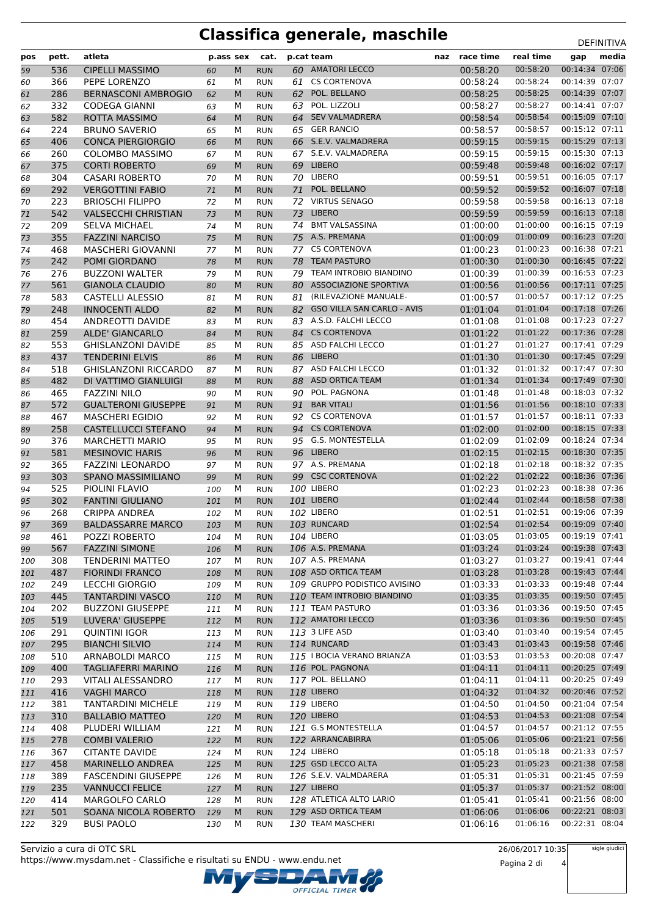# **Classifica generale, maschile** DEFINITIVA

| pos        | pett.      | atleta                                               |            | p.ass sex | cat.                     |    | p.cat team                            | naz | race time            | real time            | gap                              | media |
|------------|------------|------------------------------------------------------|------------|-----------|--------------------------|----|---------------------------------------|-----|----------------------|----------------------|----------------------------------|-------|
| 59         | 536        | <b>CIPELLI MASSIMO</b>                               | 60         | M         | <b>RUN</b>               |    | 60 AMATORI LECCO                      |     | 00:58:20             | 00:58:20             | 00:14:34 07:06                   |       |
| 60         | 366        | PEPE LORENZO                                         | 61         | м         | <b>RUN</b>               |    | 61 CS CORTENOVA                       |     | 00:58:24             | 00:58:24             | 00:14:39 07:07                   |       |
| 61         | 286        | <b>BERNASCONI AMBROGIO</b>                           | 62         | M         | <b>RUN</b>               | 62 | POL. BELLANO                          |     | 00:58:25             | 00:58:25             | 00:14:39 07:07                   |       |
| 62         | 332        | <b>CODEGA GIANNI</b>                                 | 63         | М         | <b>RUN</b>               | 63 | POL. LIZZOLI                          |     | 00:58:27             | 00:58:27             | 00:14:41 07:07                   |       |
| 63         | 582        | <b>ROTTA MASSIMO</b>                                 | 64         | M         | <b>RUN</b>               |    | 64 SEV VALMADRERA                     |     | 00:58:54             | 00:58:54             | 00:15:09 07:10                   |       |
| 64         | 224        | <b>BRUNO SAVERIO</b>                                 | 65         | М         | <b>RUN</b>               |    | 65 GER RANCIO                         |     | 00:58:57             | 00:58:57             | 00:15:12 07:11                   |       |
| 65         | 406        | <b>CONCA PIERGIORGIO</b>                             | 66         | M         | <b>RUN</b>               |    | 66 S.E.V. VALMADRERA                  |     | 00:59:15             | 00:59:15             | 00:15:29 07:13                   |       |
| 66         | 260        | <b>COLOMBO MASSIMO</b>                               | 67         | М         | <b>RUN</b>               |    | 67 S.E.V. VALMADRERA<br>69 LIBERO     |     | 00:59:15             | 00:59:15             | 00:15:30 07:13                   |       |
| 67         | 375<br>304 | <b>CORTI ROBERTO</b><br><b>CASARI ROBERTO</b>        | 69         | M         | <b>RUN</b>               |    | 70 LIBERO                             |     | 00:59:48<br>00:59:51 | 00:59:48<br>00:59:51 | 00:16:02 07:17<br>00:16:05 07:17 |       |
| 68<br>69   | 292        | <b>VERGOTTINI FABIO</b>                              | 70<br>71   | М<br>M    | <b>RUN</b><br><b>RUN</b> | 71 | POL. BELLANO                          |     | 00:59:52             | 00:59:52             | 00:16:07 07:18                   |       |
| 70         | 223        | <b>BRIOSCHI FILIPPO</b>                              | 72         | М         | <b>RUN</b>               |    | 72 VIRTUS SENAGO                      |     | 00:59:58             | 00:59:58             | 00:16:13 07:18                   |       |
| 71         | 542        | <b>VALSECCHI CHRISTIAN</b>                           | 73         | M         | <b>RUN</b>               | 73 | <b>LIBERO</b>                         |     | 00:59:59             | 00:59:59             | 00:16:13 07:18                   |       |
| 72         | 209        | <b>SELVA MICHAEL</b>                                 | 74         | М         | <b>RUN</b>               |    | 74 BMT VALSASSINA                     |     | 01:00:00             | 01:00:00             | 00:16:15 07:19                   |       |
| 73         | 355        | <b>FAZZINI NARCISO</b>                               | 75         | M         | <b>RUN</b>               |    | 75 A.S. PREMANA                       |     | 01:00:09             | 01:00:09             | 00:16:23 07:20                   |       |
| 74         | 468        | <b>MASCHERI GIOVANNI</b>                             | 77         | М         | <b>RUN</b>               | 77 | <b>CS CORTENOVA</b>                   |     | 01:00:23             | 01:00:23             | 00:16:38 07:21                   |       |
| 75         | 242        | POMI GIORDANO                                        | 78         | M         | <b>RUN</b>               | 78 | <b>TEAM PASTURO</b>                   |     | 01:00:30             | 01:00:30             | 00:16:45 07:22                   |       |
| 76         | 276        | <b>BUZZONI WALTER</b>                                | 79         | М         | <b>RUN</b>               | 79 | TEAM INTROBIO BIANDINO                |     | 01:00:39             | 01:00:39             | 00:16:53 07:23                   |       |
| 77         | 561        | <b>GIANOLA CLAUDIO</b>                               | 80         | M         | <b>RUN</b>               | 80 | <b>ASSOCIAZIONE SPORTIVA</b>          |     | 01:00:56             | 01:00:56             | 00:17:11 07:25                   |       |
| 78         | 583        | <b>CASTELLI ALESSIO</b>                              | 81         | М         | <b>RUN</b>               |    | 81 (RILEVAZIONE MANUALE-              |     | 01:00:57             | 01:00:57             | 00:17:12 07:25                   |       |
| 79         | 248        | <b>INNOCENTI ALDO</b>                                | 82         | M         | <b>RUN</b>               |    | 82 GSO VILLA SAN CARLO - AVIS         |     | 01:01:04             | 01:01:04             | 00:17:18 07:26                   |       |
| 80         | 454        | ANDREOTTI DAVIDE                                     | 83         | М         | <b>RUN</b>               |    | 83 A.S.D. FALCHI LECCO                |     | 01:01:08             | 01:01:08             | 00:17:23 07:27                   |       |
| 81         | 259        | <b>ALDE' GIANCARLO</b>                               | 84         | M         | <b>RUN</b>               | 84 | <b>CS CORTENOVA</b>                   |     | 01:01:22             | 01:01:22             | 00:17:36 07:28                   |       |
| 82         | 553        | <b>GHISLANZONI DAVIDE</b>                            | 85         | М         | <b>RUN</b>               |    | 85 ASD FALCHI LECCO                   |     | 01:01:27             | 01:01:27             | 00:17:41 07:29                   |       |
| 83         | 437        | <b>TENDERINI ELVIS</b>                               | 86         | M         | <b>RUN</b>               | 86 | <b>LIBERO</b>                         |     | 01:01:30             | 01:01:30             | 00:17:45 07:29                   |       |
| 84         | 518        | <b>GHISLANZONI RICCARDO</b>                          | 87         | М         | <b>RUN</b>               |    | 87 ASD FALCHI LECCO                   |     | 01:01:32             | 01:01:32             | 00:17:47 07:30                   |       |
| 85         | 482        | DI VATTIMO GIANLUIGI                                 | 88         | M         | <b>RUN</b>               | 88 | ASD ORTICA TEAM                       |     | 01:01:34             | 01:01:34             | 00:17:49 07:30                   |       |
| 86         | 465        | <b>FAZZINI NILO</b>                                  | 90         | М         | <b>RUN</b>               | 90 | POL. PAGNONA                          |     | 01:01:48             | 01:01:48             | 00:18:03 07:32                   |       |
| 87         | 572        | <b>GUALTERONI GIUSEPPE</b>                           | 91         | M         | <b>RUN</b>               | 91 | <b>BAR VITALI</b>                     |     | 01:01:56             | 01:01:56             | 00:18:10 07:33                   |       |
| 88         | 467        | <b>MASCHERI EGIDIO</b>                               | 92         | М         | <b>RUN</b>               |    | 92 CS CORTENOVA                       |     | 01:01:57             | 01:01:57             | 00:18:11 07:33                   |       |
| 89         | 258        | CASTELLUCCI STEFANO                                  | 94         | M         | <b>RUN</b>               | 94 | <b>CS CORTENOVA</b>                   |     | 01:02:00             | 01:02:00             | 00:18:15 07:33                   |       |
| 90         | 376        | <b>MARCHETTI MARIO</b>                               | 95         | М         | <b>RUN</b>               |    | 95 G.S. MONTESTELLA                   |     | 01:02:09             | 01:02:09             | 00:18:24 07:34                   |       |
| 91         | 581        | <b>MESINOVIC HARIS</b>                               | 96         | M         | <b>RUN</b>               |    | 96 LIBERO                             |     | 01:02:15             | 01:02:15             | 00:18:30 07:35                   |       |
| 92         | 365        | <b>FAZZINI LEONARDO</b>                              | 97         | М         | <b>RUN</b>               |    | 97 A.S. PREMANA                       |     | 01:02:18             | 01:02:18             | 00:18:32 07:35                   |       |
| 93         | 303        | <b>SPANO MASSIMILIANO</b>                            | 99         | M         | <b>RUN</b>               |    | 99 CSC CORTENOVA<br><b>100 LIBERO</b> |     | 01:02:22             | 01:02:22<br>01:02:23 | 00:18:36 07:36<br>00:18:38 07:36 |       |
| 94         | 525<br>302 | PIOLINI FLAVIO                                       | 100        | М<br>M    | <b>RUN</b>               |    | 101 LIBERO                            |     | 01:02:23<br>01:02:44 | 01:02:44             | 00:18:58 07:38                   |       |
| 95         | 268        | <b>FANTINI GIULIANO</b><br><b>CRIPPA ANDREA</b>      | 101        | М         | <b>RUN</b><br><b>RUN</b> |    | 102 LIBERO                            |     | 01:02:51             | 01:02:51             | 00:19:06 07:39                   |       |
| 96<br>97   | 369        | <b>BALDASSARRE MARCO</b>                             | 102<br>103 | M         | <b>RUN</b>               |    | 103 RUNCARD                           |     | 01:02:54             | 01:02:54             | 00:19:09 07:40                   |       |
| 98         | 461        | POZZI ROBERTO                                        | 104        | М         | <b>RUN</b>               |    | 104 LIBERO                            |     | 01:03:05             | 01:03:05             | 00:19:19 07:41                   |       |
| 99         | 567        | <b>FAZZINI SIMONE</b>                                | 106        | M         | <b>RUN</b>               |    | 106 A.S. PREMANA                      |     | 01:03:24             | 01:03:24             | 00:19:38 07:43                   |       |
| 100        | 308        | <b>TENDERINI MATTEO</b>                              | 107        | м         | <b>RUN</b>               |    | 107 A.S. PREMANA                      |     | 01:03:27             | 01:03:27             | 00:19:41 07:44                   |       |
| 101        | 487        | <b>FIORINDI FRANCO</b>                               | 108        | M         | <b>RUN</b>               |    | 108 ASD ORTICA TEAM                   |     | 01:03:28             | 01:03:28             | 00:19:43 07:44                   |       |
| 102        | 249        | LECCHI GIORGIO                                       | 109        | м         | <b>RUN</b>               |    | 109 GRUPPO PODISTICO AVISINO          |     | 01:03:33             | 01:03:33             | 00:19:48 07:44                   |       |
| 103        | 445        | <b>TANTARDINI VASCO</b>                              | 110        | M         | <b>RUN</b>               |    | 110 TEAM INTROBIO BIANDINO            |     | 01:03:35             | 01:03:35             | 00:19:50 07:45                   |       |
| 104        | 202        | <b>BUZZONI GIUSEPPE</b>                              | 111        | м         | <b>RUN</b>               |    | 111 TEAM PASTURO                      |     | 01:03:36             | 01:03:36             | 00:19:50 07:45                   |       |
| 105        | 519        | LUVERA' GIUSEPPE                                     | 112        | M         | <b>RUN</b>               |    | 112 AMATORI LECCO                     |     | 01:03:36             | 01:03:36             | 00:19:50 07:45                   |       |
| 106        | 291        | <b>QUINTINI IGOR</b>                                 | 113        | м         | <b>RUN</b>               |    | 113 3 LIFE ASD                        |     | 01:03:40             | 01:03:40             | 00:19:54 07:45                   |       |
| 107        | 295        | <b>BIANCHI SILVIO</b>                                | 114        | M         | <b>RUN</b>               |    | 114 RUNCARD                           |     | 01:03:43             | 01:03:43             | 00:19:58 07:46                   |       |
| 108        | 510        | ARNABOLDI MARCO                                      | 115        | м         | <b>RUN</b>               |    | 115   BOCIA VERANO BRIANZA            |     | 01:03:53             | 01:03:53             | 00:20:08 07:47                   |       |
| 109        | 400        | <b>TAGLIAFERRI MARINO</b>                            | 116        | M         | <b>RUN</b>               |    | 116 POL. PAGNONA                      |     | 01:04:11             | 01:04:11             | 00:20:25 07:49                   |       |
| 110        | 293        | VITALI ALESSANDRO                                    | 117        | М         | <b>RUN</b>               |    | 117 POL. BELLANO                      |     | 01:04:11             | 01:04:11             | 00:20:25 07:49                   |       |
| 111        | 416        | <b>VAGHI MARCO</b>                                   | 118        | M         | <b>RUN</b>               |    | <b>118 LIBERO</b>                     |     | 01:04:32             | 01:04:32             | 00:20:46 07:52                   |       |
| 112        | 381        | <b>TANTARDINI MICHELE</b>                            | 119        | м         | <b>RUN</b>               |    | <b>119 LIBERO</b>                     |     | 01:04:50             | 01:04:50             | 00:21:04 07:54                   |       |
| 113        | 310        | <b>BALLABIO MATTEO</b>                               | 120        | M         | <b>RUN</b>               |    | <b>120 LIBERO</b>                     |     | 01:04:53             | 01:04:53             | 00:21:08 07:54                   |       |
| 114        | 408        | PLUDERI WILLIAM                                      | 121        | М         | <b>RUN</b>               |    | 121 G.S MONTESTELLA                   |     | 01:04:57             | 01:04:57             | 00:21:12 07:55                   |       |
| 115        | 278        | <b>COMBI VALERIO</b>                                 | 122        | M         | <b>RUN</b>               |    | 122 ARRANCABIRRA                      |     | 01:05:06             | 01:05:06             | 00:21:21 07:56                   |       |
| 116        | 367        | <b>CITANTE DAVIDE</b>                                | 124        | М         | <b>RUN</b>               |    | 124 LIBERO                            |     | 01:05:18             | 01:05:18             | 00:21:33 07:57                   |       |
| 117        | 458        | MARINELLO ANDREA                                     | 125        | M         | <b>RUN</b>               |    | 125 GSD LECCO ALTA                    |     | 01:05:23             | 01:05:23             | 00:21:38 07:58<br>00:21:45 07:59 |       |
| 118        | 389<br>235 | <b>FASCENDINI GIUSEPPE</b><br><b>VANNUCCI FELICE</b> | 126        | м<br>M    | <b>RUN</b>               |    | 126 S.E.V. VALMDARERA<br>127 LIBERO   |     | 01:05:31<br>01:05:37 | 01:05:31<br>01:05:37 | 00:21:52 08:00                   |       |
| 119        | 414        | MARGOLFO CARLO                                       | 127        |           | <b>RUN</b>               |    | 128 ATLETICA ALTO LARIO               |     | 01:05:41             | 01:05:41             | 00:21:56 08:00                   |       |
| 120<br>121 | 501        | SOANA NICOLA ROBERTO                                 | 128<br>129 | м<br>M    | <b>RUN</b><br><b>RUN</b> |    | 129 ASD ORTICA TEAM                   |     | 01:06:06             | 01:06:06             | 00:22:21 08:03                   |       |
| 122        | 329        | <b>BUSI PAOLO</b>                                    | 130        | М         | <b>RUN</b>               |    | 130 TEAM MASCHERI                     |     | 01:06:16             | 01:06:16             | 00:22:31 08:04                   |       |
|            |            |                                                      |            |           |                          |    |                                       |     |                      |                      |                                  |       |

Servizio a cura di OTC SRL https://www.mysdam.net - Classifiche e risultati su ENDU - www.endu.net OFFICIAL TIMER 26/06/2017 10:35

Pagina 2 di 4

sigle giudici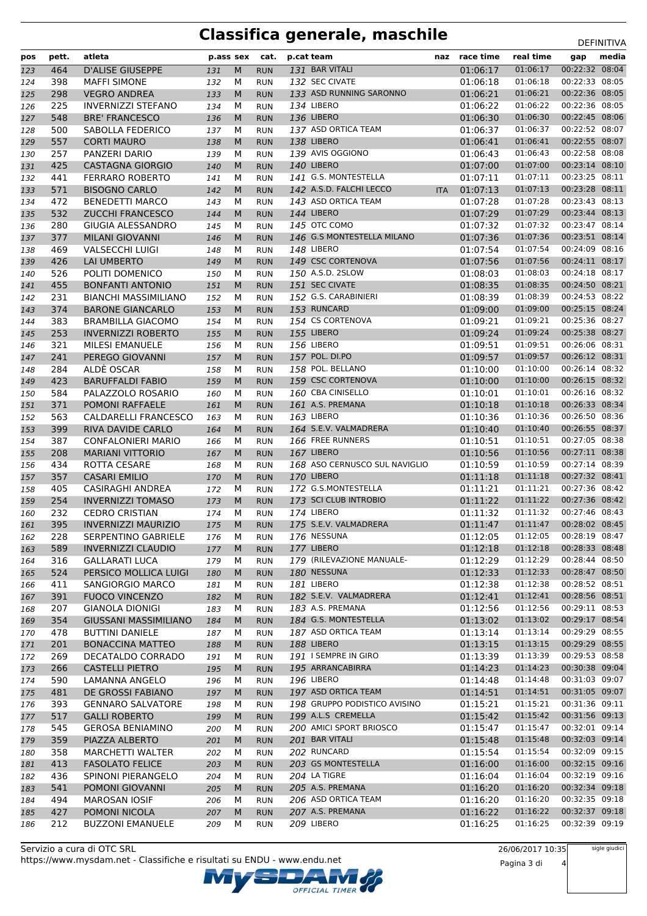# **Classifica generale, maschile** DEFINITIVA

| pos        | pett.      | atleta                                              |            |        | p.ass sex cat.           | p.cat team                        |            | naz race time        | real time            | gap                              | media |
|------------|------------|-----------------------------------------------------|------------|--------|--------------------------|-----------------------------------|------------|----------------------|----------------------|----------------------------------|-------|
| 123        | 464        | <b>D'ALISE GIUSEPPE</b>                             | 131        | M      | <b>RUN</b>               | 131 BAR VITALI                    |            | 01:06:17             | 01:06:17             | 00:22:32 08:04                   |       |
| 124        | 398        | <b>MAFFI SIMONE</b>                                 | 132        | м      | <b>RUN</b>               | 132 SEC CIVATE                    |            | 01:06:18             | 01:06:18             | 00:22:33 08:05                   |       |
| 125        | 298        | <b>VEGRO ANDREA</b>                                 | 133        | M      | <b>RUN</b>               | 133 ASD RUNNING SARONNO           |            | 01:06:21             | 01:06:21             | 00:22:36 08:05                   |       |
| 126        | 225        | <b>INVERNIZZI STEFANO</b>                           | 134        | М      | <b>RUN</b>               | 134 LIBERO                        |            | 01:06:22             | 01:06:22             | 00:22:36 08:05                   |       |
| 127        | 548        | <b>BRE' FRANCESCO</b>                               | 136        | M      | <b>RUN</b>               | <b>136 LIBERO</b>                 |            | 01:06:30             | 01:06:30             | 00:22:45 08:06                   |       |
| 128        | 500        | SABOLLA FEDERICO                                    | 137        | М      | <b>RUN</b>               | 137 ASD ORTICA TEAM               |            | 01:06:37             | 01:06:37             | 00:22:52 08:07                   |       |
| 129        | 557        | <b>CORTI MAURO</b>                                  | 138        | M      | <b>RUN</b>               | <b>138 LIBERO</b>                 |            | 01:06:41             | 01:06:41             | 00:22:55 08:07                   |       |
| 130        | 257        | PANZERI DARIO                                       | 139        | М      | <b>RUN</b>               | 139 AVIS OGGIONO                  |            | 01:06:43             | 01:06:43             | 00:22:58 08:08                   |       |
| 131        | 425        | <b>CASTAGNA GIORGIO</b>                             | 140        | M      | <b>RUN</b>               | <b>140 LIBERO</b>                 |            | 01:07:00             | 01:07:00             | 00:23:14 08:10<br>00:23:25 08:11 |       |
| 132        | 441        | <b>FERRARO ROBERTO</b>                              | 141        | М      | <b>RUN</b>               | 141 G.S. MONTESTELLA              |            | 01:07:11             | 01:07:11             |                                  |       |
| 133        | 571        | <b>BISOGNO CARLO</b>                                | 142        | M      | <b>RUN</b>               | 142 A.S.D. FALCHI LECCO           | <b>ITA</b> | 01:07:13             | 01:07:13             | 00:23:28 08:11<br>00:23:43 08:13 |       |
| 134        | 472        | <b>BENEDETTI MARCO</b>                              | 143        | М      | <b>RUN</b>               | 143 ASD ORTICA TEAM               |            | 01:07:28             | 01:07:28<br>01:07:29 | 00:23:44 08:13                   |       |
| 135        | 532<br>280 | <b>ZUCCHI FRANCESCO</b><br><b>GIUGIA ALESSANDRO</b> | 144        | M<br>M | <b>RUN</b><br><b>RUN</b> | <b>144 LIBERO</b><br>145 OTC COMO |            | 01:07:29<br>01:07:32 | 01:07:32             | 00:23:47 08:14                   |       |
| 136        | 377        |                                                     | 145        | M      |                          | 146 G.S MONTESTELLA MILANO        |            | 01:07:36             | 01:07:36             | 00:23:51 08:14                   |       |
| 137<br>138 | 469        | <b>MILANI GIOVANNI</b><br><b>VALSECCHI LUIGI</b>    | 146<br>148 | М      | <b>RUN</b><br><b>RUN</b> | <b>148 LIBERO</b>                 |            | 01:07:54             | 01:07:54             | 00:24:09 08:16                   |       |
| 139        | 426        | <b>LAI UMBERTO</b>                                  | 149        | M      | <b>RUN</b>               | 149 CSC CORTENOVA                 |            | 01:07:56             | 01:07:56             | 00:24:11 08:17                   |       |
| 140        | 526        | POLITI DOMENICO                                     | 150        | М      | <b>RUN</b>               | 150 A.S.D. 2SLOW                  |            | 01:08:03             | 01:08:03             | 00:24:18 08:17                   |       |
| 141        | 455        | <b>BONFANTI ANTONIO</b>                             | 151        | M      | <b>RUN</b>               | 151 SEC CIVATE                    |            | 01:08:35             | 01:08:35             | 00:24:50 08:21                   |       |
| 142        | 231        | <b>BIANCHI MASSIMILIANO</b>                         | 152        | М      | <b>RUN</b>               | 152 G.S. CARABINIERI              |            | 01:08:39             | 01:08:39             | 00:24:53 08:22                   |       |
| 143        | 374        | <b>BARONE GIANCARLO</b>                             | 153        | M      | <b>RUN</b>               | 153 RUNCARD                       |            | 01:09:00             | 01:09:00             | 00:25:15 08:24                   |       |
| 144        | 383        | <b>BRAMBILLA GIACOMO</b>                            | 154        | М      | <b>RUN</b>               | 154 CS CORTENOVA                  |            | 01:09:21             | 01:09:21             | 00:25:36 08:27                   |       |
| 145        | 253        | <b>INVERNIZZI ROBERTO</b>                           | 155        | M      | <b>RUN</b>               | 155 LIBERO                        |            | 01:09:24             | 01:09:24             | 00:25:38 08:27                   |       |
| 146        | 321        | <b>MILESI EMANUELE</b>                              | 156        | М      | <b>RUN</b>               | <b>156 LIBERO</b>                 |            | 01:09:51             | 01:09:51             | 00:26:06 08:31                   |       |
| 147        | 241        | PEREGO GIOVANNI                                     | 157        | M      | <b>RUN</b>               | 157 POL. DI.PO                    |            | 01:09:57             | 01:09:57             | 00:26:12 08:31                   |       |
| 148        | 284        | ALDÈ OSCAR                                          | 158        | М      | <b>RUN</b>               | 158 POL. BELLANO                  |            | 01:10:00             | 01:10:00             | 00:26:14 08:32                   |       |
| 149        | 423        | <b>BARUFFALDI FABIO</b>                             | 159        | M      | <b>RUN</b>               | 159 CSC CORTENOVA                 |            | 01:10:00             | 01:10:00             | 00:26:15 08:32                   |       |
| 150        | 584        | PALAZZOLO ROSARIO                                   | 160        | М      | <b>RUN</b>               | 160 CBA CINISELLO                 |            | 01:10:01             | 01:10:01             | 00:26:16 08:32                   |       |
| 151        | 371        | <b>POMONI RAFFAELE</b>                              | 161        | M      | <b>RUN</b>               | 161 A.S. PREMANA                  |            | 01:10:18             | 01:10:18             | 00:26:33 08:34                   |       |
| 152        | 563        | CALDARELLI FRANCESCO                                | 163        | М      | <b>RUN</b>               | <b>163 LIBERO</b>                 |            | 01:10:36             | 01:10:36             | 00:26:50 08:36                   |       |
| 153        | 399        | RIVA DAVIDE CARLO                                   | 164        | M      | <b>RUN</b>               | 164 S.E.V. VALMADRERA             |            | 01:10:40             | 01:10:40             | 00:26:55 08:37                   |       |
| 154        | 387        | <b>CONFALONIERI MARIO</b>                           | 166        | М      | <b>RUN</b>               | 166 FREE RUNNERS                  |            | 01:10:51             | 01:10:51             | 00:27:05 08:38                   |       |
| 155        | 208        | <b>MARIANI VITTORIO</b>                             | 167        | M      | <b>RUN</b>               | 167 LIBERO                        |            | 01:10:56             | 01:10:56             | 00:27:11 08:38                   |       |
| 156        | 434        | ROTTA CESARE                                        | 168        | М      | <b>RUN</b>               | 168 ASO CERNUSCO SUL NAVIGLIO     |            | 01:10:59             | 01:10:59             | 00:27:14 08:39                   |       |
| 157        | 357        | <b>CASARI EMILIO</b>                                | 170        | M      | <b>RUN</b>               | 170 LIBERO                        |            | 01:11:18             | 01:11:18             | 00:27:32 08:41                   |       |
| 158        | 405        | CASIRAGHI ANDREA                                    | 172        | м      | <b>RUN</b>               | 172 G.S.MONTESTELLA               |            | 01:11:21             | 01:11:21             | 00:27:36 08:42                   |       |
| 159        | 254        | <b>INVERNIZZI TOMASO</b>                            | 173        | M      | <b>RUN</b>               | 173 SCI CLUB INTROBIO             |            | 01:11:22             | 01:11:22             | 00:27:36 08:42                   |       |
| 160        | 232        | <b>CEDRO CRISTIAN</b>                               | 174        | м      | <b>RUN</b>               | 174 LIBERO                        |            | 01:11:32             | 01:11:32             | 00:27:46 08:43                   |       |
| 161        | 395        | <b>INVERNIZZI MAURIZIO</b>                          | 175        | M      | <b>RUN</b>               | 175 S.E.V. VALMADRERA             |            | 01:11:47             | 01:11:47             | 00:28:02 08:45                   |       |
| 162        | 228        | SERPENTINO GABRIELE                                 | 176        | М      | <b>RUN</b>               | 176 NESSUNA                       |            | 01:12:05             | 01:12:05             | 00:28:19 08:47                   |       |
| 163        | 589        | <b>INVERNIZZI CLAUDIO</b>                           | 177        | M      | <b>RUN</b>               | 177 LIBERO                        |            | 01:12:18             | 01:12:18             | 00:28:33 08:48                   |       |
| 164        | 316        | GALLARATI LUCA                                      | 179        | М      | <b>RUN</b>               | 179 (RILEVAZIONE MANUALE-         |            | 01:12:29             | 01:12:29             | 00:28:44 08:50                   |       |
| 165        | 524        | PERSICO MOLLICA LUIGI                               | 180        | M      | <b>RUN</b>               | 180 NESSUNA                       |            | 01:12:33             | 01:12:33             | 00:28:47 08:50                   |       |
| 166        | 411        | SANGIORGIO MARCO                                    | 181        | м      | <b>RUN</b>               | <b>181 LIBERO</b>                 |            | 01:12:38             | 01:12:38             | 00:28:52 08:51                   |       |
| 167        | 391        | <b>FUOCO VINCENZO</b>                               | 182        | M      | <b>RUN</b>               | 182 S.E.V. VALMADRERA             |            | 01:12:41             | 01:12:41             | 00:28:56 08:51                   |       |
| 168        | 207        | <b>GIANOLA DIONIGI</b>                              | 183        | м      | <b>RUN</b>               | 183 A.S. PREMANA                  |            | 01:12:56             | 01:12:56             | 00:29:11 08:53                   |       |
| 169        | 354        | <b>GIUSSANI MASSIMILIANO</b>                        | 184        | M      | <b>RUN</b>               | 184 G.S. MONTESTELLA              |            | 01:13:02             | 01:13:02             | 00:29:17 08:54                   |       |
| 170        | 478        | <b>BUTTINI DANIELE</b>                              | 187        | м      | <b>RUN</b>               | 187 ASD ORTICA TEAM               |            | 01:13:14             | 01:13:14             | 00:29:29 08:55                   |       |
| 171        | 201        | <b>BONACCINA MATTEO</b>                             | 188        | M      | <b>RUN</b>               | 188 LIBERO                        |            | 01:13:15             | 01:13:15             | 00:29:29 08:55                   |       |
| 172        | 269        | DECATALDO CORRADO                                   | 191        | м      | <b>RUN</b>               | 191 I SEMPRE IN GIRO              |            | 01:13:39             | 01:13:39             | 00:29:53 08:58                   |       |
| 173        | 266        | <b>CASTELLI PIETRO</b>                              | 195        | M      | <b>RUN</b>               | 195 ARRANCABIRRA                  |            | 01:14:23             | 01:14:23             | 00:30:38 09:04                   |       |
| 174        | 590        | LAMANNA ANGELO                                      | 196        | м      | <b>RUN</b>               | 196 LIBERO                        |            | 01:14:48             | 01:14:48             | 00:31:03 09:07                   |       |
| 175        | 481        | DE GROSSI FABIANO                                   | 197        | M      | <b>RUN</b>               | 197 ASD ORTICA TEAM               |            | 01:14:51             | 01:14:51             | 00:31:05 09:07                   |       |
| 176        | 393        | <b>GENNARO SALVATORE</b>                            | 198        | м      | <b>RUN</b>               | 198 GRUPPO PODISTICO AVISINO      |            | 01:15:21             | 01:15:21             | 00:31:36 09:11                   |       |
| 177        | 517        | <b>GALLI ROBERTO</b>                                | 199        | M      | <b>RUN</b>               | 199 A.L.S CREMELLA                |            | 01:15:42             | 01:15:42             | 00:31:56 09:13                   |       |
| 178        | 545        | <b>GEROSA BENIAMINO</b>                             | 200        | м      | <b>RUN</b>               | 200 AMICI SPORT BRIOSCO           |            | 01:15:47             | 01:15:47             | 00:32:01 09:14                   |       |
| 179        | 359        | PIAZZA ALBERTO                                      | 201        | M      | <b>RUN</b>               | 201 BAR VITALI                    |            | 01:15:48             | 01:15:48             | 00:32:03 09:14                   |       |
| 180        | 358        | <b>MARCHETTI WALTER</b>                             | 202        | м      | <b>RUN</b>               | 202 RUNCARD                       |            | 01:15:54             | 01:15:54             | 00:32:09 09:15                   |       |
| 181        | 413        | <b>FASOLATO FELICE</b>                              | 203        | M      | <b>RUN</b>               | 203 GS MONTESTELLA                |            | 01:16:00             | 01:16:00             | 00:32:15 09:16                   |       |
| 182        | 436        | SPINONI PIERANGELO                                  | 204        | м      | <b>RUN</b>               | 204 LA TIGRE                      |            | 01:16:04             | 01:16:04             | 00:32:19 09:16                   |       |
| 183        | 541        | POMONI GIOVANNI                                     | 205        | M      | <b>RUN</b>               | 205 A.S. PREMANA                  |            | 01:16:20             | 01:16:20             | 00:32:34 09:18                   |       |
| 184        | 494        | <b>MAROSAN IOSIF</b>                                | 206        | м      | <b>RUN</b>               | 206 ASD ORTICA TEAM               |            | 01:16:20             | 01:16:20             | 00:32:35 09:18                   |       |
| 185        | 427        | POMONI NICOLA                                       | 207        | M      | <b>RUN</b>               | 207 A.S. PREMANA                  |            | 01:16:22             | 01:16:22             | 00:32:37 09:18                   |       |
| 186        | 212        | <b>BUZZONI EMANUELE</b>                             | 209        | М      | <b>RUN</b>               | 209 LIBERO                        |            | 01:16:25             | 01:16:25             | 00:32:39 09:19                   |       |



Pagina 3 di 4